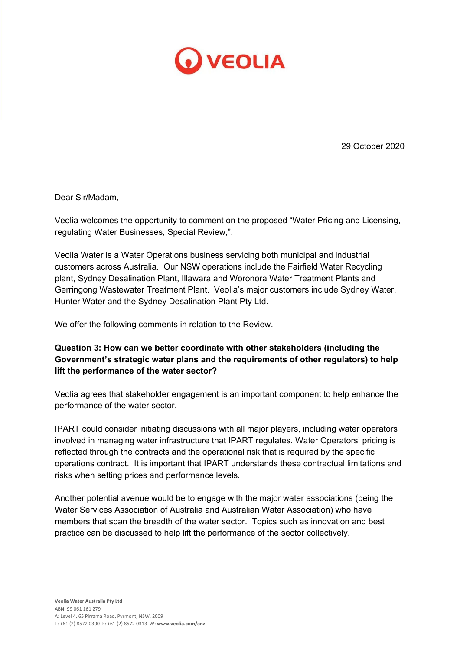

29 October 2020

Dear Sir/Madam,

Veolia welcomes the opportunity to comment on the proposed "Water Pricing and Licensing, regulating Water Businesses, Special Review,".

Veolia Water is a Water Operations business servicing both municipal and industrial customers across Australia. Our NSW operations include the Fairfield Water Recycling plant, Sydney Desalination Plant, Illawara and Woronora Water Treatment Plants and Gerringong Wastewater Treatment Plant. Veolia's major customers include Sydney Water, Hunter Water and the Sydney Desalination Plant Pty Ltd.

We offer the following comments in relation to the Review.

## **Question 3: How can we better coordinate with other stakeholders (including the Government's strategic water plans and the requirements of other regulators) to help lift the performance of the water sector?**

Veolia agrees that stakeholder engagement is an important component to help enhance the performance of the water sector.

IPART could consider initiating discussions with all major players, including water operators involved in managing water infrastructure that IPART regulates. Water Operators' pricing is reflected through the contracts and the operational risk that is required by the specific operations contract. It is important that IPART understands these contractual limitations and risks when setting prices and performance levels.

Another potential avenue would be to engage with the major water associations (being the Water Services Association of Australia and Australian Water Association) who have members that span the breadth of the water sector. Topics such as innovation and best practice can be discussed to help lift the performance of the sector collectively.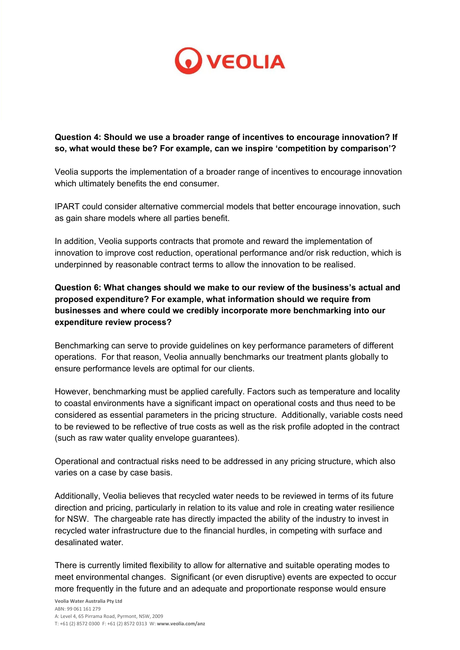

## **Question 4: Should we use a broader range of incentives to encourage innovation? If so, what would these be? For example, can we inspire 'competition by comparison'?**

Veolia supports the implementation of a broader range of incentives to encourage innovation which ultimately benefits the end consumer.

IPART could consider alternative commercial models that better encourage innovation, such as gain share models where all parties benefit.

In addition, Veolia supports contracts that promote and reward the implementation of innovation to improve cost reduction, operational performance and/or risk reduction, which is underpinned by reasonable contract terms to allow the innovation to be realised.

**Question 6: What changes should we make to our review of the business's actual and proposed expenditure? For example, what information should we require from businesses and where could we credibly incorporate more benchmarking into our expenditure review process?**

Benchmarking can serve to provide guidelines on key performance parameters of different operations. For that reason, Veolia annually benchmarks our treatment plants globally to ensure performance levels are optimal for our clients.

However, benchmarking must be applied carefully. Factors such as temperature and locality to coastal environments have a significant impact on operational costs and thus need to be considered as essential parameters in the pricing structure. Additionally, variable costs need to be reviewed to be reflective of true costs as well as the risk profile adopted in the contract (such as raw water quality envelope guarantees).

Operational and contractual risks need to be addressed in any pricing structure, which also varies on a case by case basis.

Additionally, Veolia believes that recycled water needs to be reviewed in terms of its future direction and pricing, particularly in relation to its value and role in creating water resilience for NSW. The chargeable rate has directly impacted the ability of the industry to invest in recycled water infrastructure due to the financial hurdles, in competing with surface and desalinated water.

There is currently limited flexibility to allow for alternative and suitable operating modes to meet environmental changes. Significant (or even disruptive) events are expected to occur more frequently in the future and an adequate and proportionate response would ensure